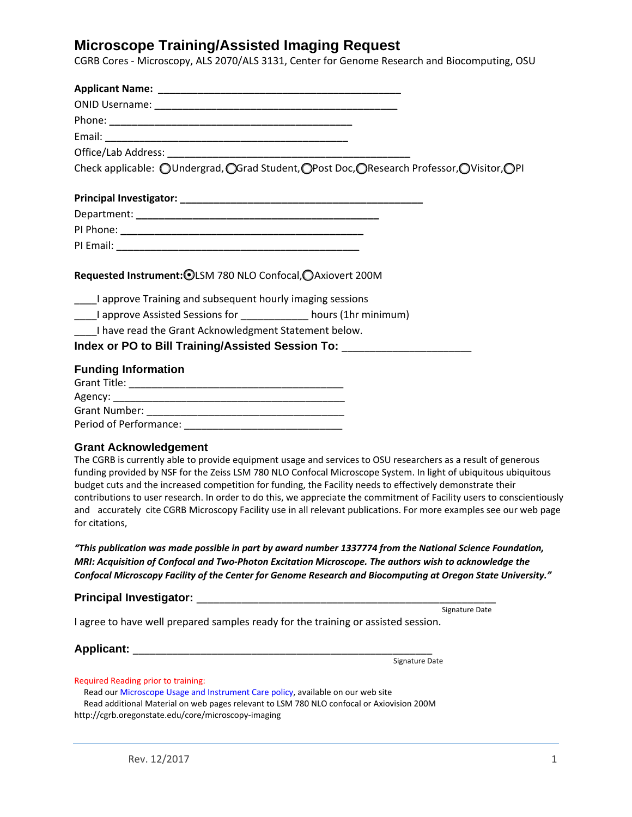## **Microscope Training/Assisted Imaging Request**

CGRB Cores ‐ Microscopy, ALS 2070/ALS 3131, Center for Genome Research and Biocomputing, OSU

| Check applicable: OUndergrad, OGrad Student, OPost Doc, OResearch Professor, OVisitor, OPI                                                                                                                                                                                                                                                                                                                                                                                                                                                                                                                                    |
|-------------------------------------------------------------------------------------------------------------------------------------------------------------------------------------------------------------------------------------------------------------------------------------------------------------------------------------------------------------------------------------------------------------------------------------------------------------------------------------------------------------------------------------------------------------------------------------------------------------------------------|
|                                                                                                                                                                                                                                                                                                                                                                                                                                                                                                                                                                                                                               |
|                                                                                                                                                                                                                                                                                                                                                                                                                                                                                                                                                                                                                               |
|                                                                                                                                                                                                                                                                                                                                                                                                                                                                                                                                                                                                                               |
|                                                                                                                                                                                                                                                                                                                                                                                                                                                                                                                                                                                                                               |
| ____I approve Training and subsequent hourly imaging sessions<br>I approve Assisted Sessions for _____________ hours (1hr minimum)<br>I have read the Grant Acknowledgment Statement below.<br>Index or PO to Bill Training/Assisted Session To: ______________________________                                                                                                                                                                                                                                                                                                                                               |
| <b>Funding Information</b>                                                                                                                                                                                                                                                                                                                                                                                                                                                                                                                                                                                                    |
|                                                                                                                                                                                                                                                                                                                                                                                                                                                                                                                                                                                                                               |
|                                                                                                                                                                                                                                                                                                                                                                                                                                                                                                                                                                                                                               |
|                                                                                                                                                                                                                                                                                                                                                                                                                                                                                                                                                                                                                               |
|                                                                                                                                                                                                                                                                                                                                                                                                                                                                                                                                                                                                                               |
| <b>Grant Acknowledgement</b><br>The CGRB is currently able to provide equipment usage and services to OSU researchers as a result of generous<br>funding provided by NSF for the Zeiss LSM 780 NLO Confocal Microscope System. In light of ubiquitous ubiquitous<br>budget cuts and the increased competition for funding, the Facility needs to effectively demonstrate their<br>contributions to user research. In order to do this, we appreciate the commitment of Facility users to conscientiously<br>and accurately cite CGRB Microscopy Facility use in all relevant publications. For more examples see our web page |

*"This publication was made possible in part by award number 1337774 from the National Science Foundation, MRI: Acquisition of Confocal and Two‐Photon Excitation Microscope. The authors wish to acknowledge the Confocal Microscopy Facility of the Center for Genome Research and Biocomputing at Oregon State University."*

#### **Principal Investigator:**

Signature Date

I agree to have well prepared samples ready for the training or assisted session.

Applicant: <u>\_\_\_\_\_\_\_\_\_\_\_\_</u>

for citations,

Signature Date

Required Reading prior to training:

 Read our Microscope Usage and Instrument Care policy, available on our web site Read additional Material on web pages relevant to LSM 780 NLO confocal or Axiovision 200M http://cgrb.oregonstate.edu/core/microscopy‐imaging